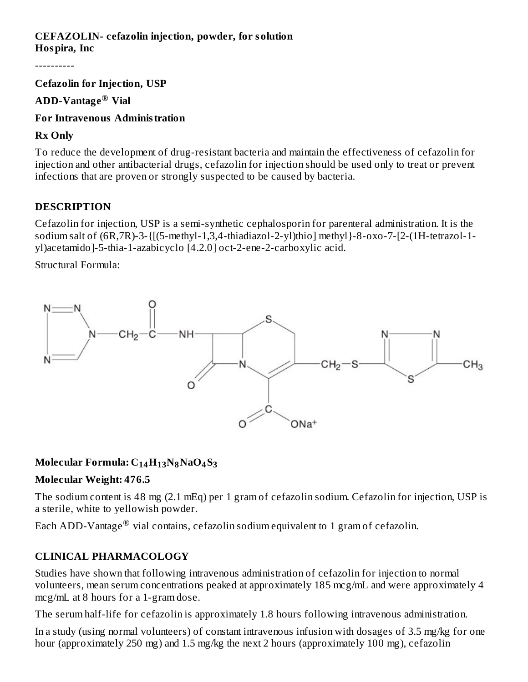#### **CEFAZOLIN- cefazolin injection, powder, for solution Hospira, Inc**

----------

**Cefazolin for Injection, USP**

**ADD-Vantage Vial ®**

#### **For Intravenous Administration**

#### **Rx Only**

To reduce the development of drug-resistant bacteria and maintain the effectiveness of cefazolin for injection and other antibacterial drugs, cefazolin for injection should be used only to treat or prevent infections that are proven or strongly suspected to be caused by bacteria.

#### **DESCRIPTION**

Cefazolin for injection, USP is a semi-synthetic cephalosporin for parenteral administration. It is the sodium salt of (6R,7R)-3-{[(5-methyl-1,3,4-thiadiazol-2-yl)thio] methyl}-8-oxo-7-[2-(1H-tetrazol-1 yl)acetamido]-5-thia-1-azabicyclo [4.2.0] oct-2-ene-2-carboxylic acid.

Structural Formula:



# **Molecular Formula: C H N NaO S 14 13 8 4 3**

#### **Molecular Weight: 476.5**

The sodium content is 48 mg (2.1 mEq) per 1 gram of cefazolin sodium. Cefazolin for injection, USP is a sterile, white to yellowish powder.

Each ADD-Vantage $^{\circledR}$  vial contains, cefazolin sodium equivalent to 1 gram of cefazolin.

## **CLINICAL PHARMACOLOGY**

Studies have shown that following intravenous administration of cefazolin for injection to normal volunteers, mean serum concentrations peaked at approximately 185 mcg/mL and were approximately 4 mcg/mL at 8 hours for a 1-gram dose.

The serum half-life for cefazolin is approximately 1.8 hours following intravenous administration.

In a study (using normal volunteers) of constant intravenous infusion with dosages of 3.5 mg/kg for one hour (approximately 250 mg) and 1.5 mg/kg the next 2 hours (approximately 100 mg), cefazolin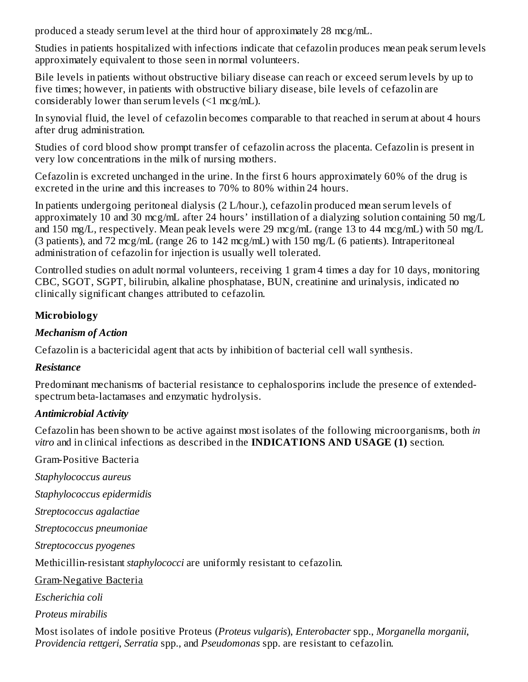produced a steady serum level at the third hour of approximately 28 mcg/mL.

Studies in patients hospitalized with infections indicate that cefazolin produces mean peak serum levels approximately equivalent to those seen in normal volunteers.

Bile levels in patients without obstructive biliary disease can reach or exceed serum levels by up to five times; however, in patients with obstructive biliary disease, bile levels of cefazolin are considerably lower than serum levels (<1 mcg/mL).

In synovial fluid, the level of cefazolin becomes comparable to that reached in serum at about 4 hours after drug administration.

Studies of cord blood show prompt transfer of cefazolin across the placenta. Cefazolin is present in very low concentrations in the milk of nursing mothers.

Cefazolin is excreted unchanged in the urine. In the first 6 hours approximately 60% of the drug is excreted in the urine and this increases to 70% to 80% within 24 hours.

In patients undergoing peritoneal dialysis (2 L/hour.), cefazolin produced mean serum levels of approximately 10 and 30 mcg/mL after 24 hours' instillation of a dialyzing solution containing 50 mg/L and 150 mg/L, respectively. Mean peak levels were 29 mcg/mL (range 13 to 44 mcg/mL) with 50 mg/L (3 patients), and 72 mcg/mL (range 26 to 142 mcg/mL) with 150 mg/L (6 patients). Intraperitoneal administration of cefazolin for injection is usually well tolerated.

Controlled studies on adult normal volunteers, receiving 1 gram 4 times a day for 10 days, monitoring CBC, SGOT, SGPT, bilirubin, alkaline phosphatase, BUN, creatinine and urinalysis, indicated no clinically significant changes attributed to cefazolin.

## **Microbiology**

## *Mechanism of Action*

Cefazolin is a bactericidal agent that acts by inhibition of bacterial cell wall synthesis.

## *Resistance*

Predominant mechanisms of bacterial resistance to cephalosporins include the presence of extendedspectrum beta-lactamases and enzymatic hydrolysis.

# *Antimicrobial Activity*

Cefazolin has been shown to be active against most isolates of the following microorganisms, both *in vitro* and in clinical infections as described in the **INDICATIONS AND USAGE (1)** section.

Gram-Positive Bacteria

*Staphylococcus aureus*

*Staphylococcus epidermidis*

*Streptococcus agalactiae*

*Streptococcus pneumoniae*

*Streptococcus pyogenes*

Methicillin-resistant *staphylococci* are uniformly resistant to cefazolin.

Gram-Negative Bacteria

*Escherichia coli*

## *Proteus mirabilis*

Most isolates of indole positive Proteus (*Proteus vulgaris*), *Enterobacter* spp., *Morganella morganii*, *Providencia rettgeri*, *Serratia* spp., and *Pseudomonas* spp. are resistant to cefazolin.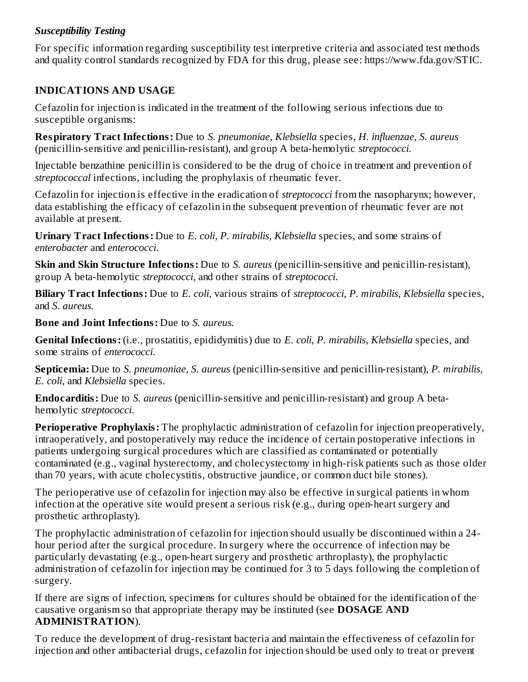#### *Susceptibility Testing*

For specific information regarding susceptibility test interpretive criteria and associated test methods and quality control standards recognized by FDA for this drug, please see: https://www.fda.gov/STIC.

### **INDICATIONS AND USAGE**

Cefazolin for injection is indicated in the treatment of the following serious infections due to susceptible organisms:

**Respiratory Tract Infections:** Due to *S. pneumoniae, Klebsiella* species, *H. influenzae, S. aureus* (penicillin-sensitive and penicillin-resistant), and group A beta-hemolytic *streptococci*.

Injectable benzathine penicillin is considered to be the drug of choice in treatment and prevention of *streptococcal* infections, including the prophylaxis of rheumatic fever.

Cefazolin for injection is effective in the eradication of *streptococci* from the nasopharynx; however, data establishing the efficacy of cefazolin in the subsequent prevention of rheumatic fever are not available at present.

**Urinary Tract Infections:** Due to *E. coli, P. mirabilis, Klebsiella* species, and some strains of *enterobacter* and *enterococci*.

**Skin and Skin Structure Infections:** Due to *S. aureus* (penicillin-sensitive and penicillin-resistant), group A beta-hemolytic *streptococci*, and other strains of *streptococci*.

**Biliary Tract Infections:** Due to *E. coli,* various strains of *streptococci*, *P. mirabilis, Klebsiella* species, and *S. aureus.*

**Bone and Joint Infections:** Due to *S. aureus.*

**Genital Infections:** (i.e., prostatitis, epididymitis) due to *E. coli, P. mirabilis, Klebsiella* species, and some strains of *enterococci*.

**Septicemia:** Due to *S. pneumoniae, S. aureus* (penicillin-sensitive and penicillin-resistant), *P. mirabilis, E. coli,* and *Klebsiella* species.

**Endocarditis:** Due to *S. aureus* (penicillin-sensitive and penicillin-resistant) and group A betahemolytic *streptococci*.

**Perioperative Prophylaxis:** The prophylactic administration of cefazolin for injection preoperatively, intraoperatively, and postoperatively may reduce the incidence of certain postoperative infections in patients undergoing surgical procedures which are classified as contaminated or potentially contaminated (e.g., vaginal hysterectomy, and cholecystectomy in high-risk patients such as those older than 70 years, with acute cholecystitis, obstructive jaundice, or common duct bile stones).

The perioperative use of cefazolin for injection may also be effective in surgical patients in whom infection at the operative site would present a serious risk (e.g., during open-heart surgery and prosthetic arthroplasty).

The prophylactic administration of cefazolin for injection should usually be discontinued within a 24 hour period after the surgical procedure. In surgery where the occurrence of infection may be particularly devastating (e.g., open-heart surgery and prosthetic arthroplasty), the prophylactic administration of cefazolin for injection may be continued for 3 to 5 days following the completion of surgery.

If there are signs of infection, specimens for cultures should be obtained for the identification of the causative organism so that appropriate therapy may be instituted (see **DOSAGE AND ADMINISTRATION**).

To reduce the development of drug-resistant bacteria and maintain the effectiveness of cefazolin for injection and other antibacterial drugs, cefazolin for injection should be used only to treat or prevent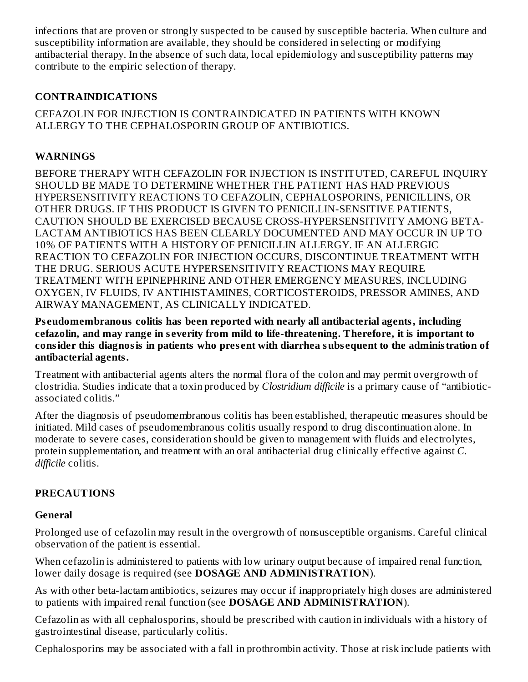infections that are proven or strongly suspected to be caused by susceptible bacteria. When culture and susceptibility information are available, they should be considered in selecting or modifying antibacterial therapy. In the absence of such data, local epidemiology and susceptibility patterns may contribute to the empiric selection of therapy.

## **CONTRAINDICATIONS**

CEFAZOLIN FOR INJECTION IS CONTRAINDICATED IN PATIENTS WITH KNOWN ALLERGY TO THE CEPHALOSPORIN GROUP OF ANTIBIOTICS.

#### **WARNINGS**

BEFORE THERAPY WITH CEFAZOLIN FOR INJECTION IS INSTITUTED, CAREFUL INQUIRY SHOULD BE MADE TO DETERMINE WHETHER THE PATIENT HAS HAD PREVIOUS HYPERSENSITIVITY REACTIONS TO CEFAZOLIN, CEPHALOSPORINS, PENICILLINS, OR OTHER DRUGS. IF THIS PRODUCT IS GIVEN TO PENICILLIN-SENSITIVE PATIENTS, CAUTION SHOULD BE EXERCISED BECAUSE CROSS-HYPERSENSITIVITY AMONG BETA-LACTAM ANTIBIOTICS HAS BEEN CLEARLY DOCUMENTED AND MAY OCCUR IN UP TO 10% OF PATIENTS WITH A HISTORY OF PENICILLIN ALLERGY. IF AN ALLERGIC REACTION TO CEFAZOLIN FOR INJECTION OCCURS, DISCONTINUE TREATMENT WITH THE DRUG. SERIOUS ACUTE HYPERSENSITIVITY REACTIONS MAY REQUIRE TREATMENT WITH EPINEPHRINE AND OTHER EMERGENCY MEASURES, INCLUDING OXYGEN, IV FLUIDS, IV ANTIHISTAMINES, CORTICOSTEROIDS, PRESSOR AMINES, AND AIRWAY MANAGEMENT, AS CLINICALLY INDICATED.

**Ps eudomembranous colitis has been reported with nearly all antibacterial agents, including cefazolin, and may range in s everity from mild to life-threatening. Therefore, it is important to consider this diagnosis in patients who pres ent with diarrhea subs equent to the administration of antibacterial agents.**

Treatment with antibacterial agents alters the normal flora of the colon and may permit overgrowth of clostridia. Studies indicate that a toxin produced by *Clostridium difficile* is a primary cause of "antibioticassociated colitis."

After the diagnosis of pseudomembranous colitis has been established, therapeutic measures should be initiated. Mild cases of pseudomembranous colitis usually respond to drug discontinuation alone. In moderate to severe cases, consideration should be given to management with fluids and electrolytes, protein supplementation, and treatment with an oral antibacterial drug clinically effective against *C. difficile* colitis.

#### **PRECAUTIONS**

#### **General**

Prolonged use of cefazolin may result in the overgrowth of nonsusceptible organisms. Careful clinical observation of the patient is essential.

When cefazolin is administered to patients with low urinary output because of impaired renal function, lower daily dosage is required (see **DOSAGE AND ADMINISTRATION**).

As with other beta-lactam antibiotics, seizures may occur if inappropriately high doses are administered to patients with impaired renal function (see **DOSAGE AND ADMINISTRATION**).

Cefazolin as with all cephalosporins, should be prescribed with caution in individuals with a history of gastrointestinal disease, particularly colitis.

Cephalosporins may be associated with a fall in prothrombin activity. Those at risk include patients with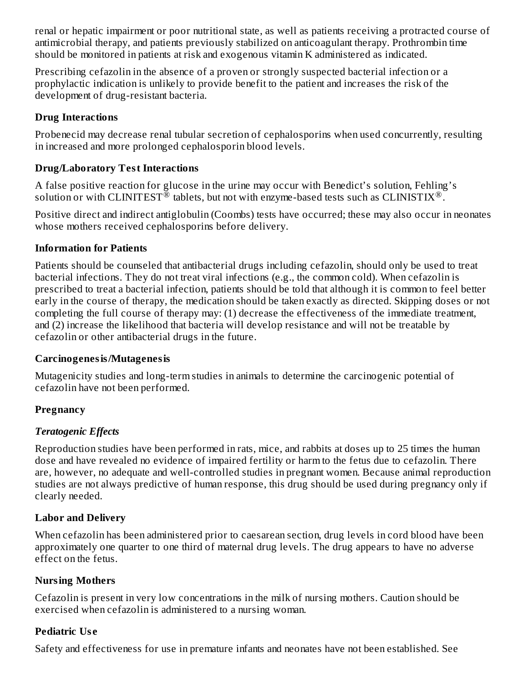renal or hepatic impairment or poor nutritional state, as well as patients receiving a protracted course of antimicrobial therapy, and patients previously stabilized on anticoagulant therapy. Prothrombin time should be monitored in patients at risk and exogenous vitamin K administered as indicated.

Prescribing cefazolin in the absence of a proven or strongly suspected bacterial infection or a prophylactic indication is unlikely to provide benefit to the patient and increases the risk of the development of drug-resistant bacteria.

## **Drug Interactions**

Probenecid may decrease renal tubular secretion of cephalosporins when used concurrently, resulting in increased and more prolonged cephalosporin blood levels.

#### **Drug/Laboratory Test Interactions**

A false positive reaction for glucose in the urine may occur with Benedict's solution, Fehling's solution or with CLINITEST  $^{\circledR}$  tablets, but not with enzyme-based tests such as CLINISTIX  $^{\circledR}$  .

Positive direct and indirect antiglobulin (Coombs) tests have occurred; these may also occur in neonates whose mothers received cephalosporins before delivery.

#### **Information for Patients**

Patients should be counseled that antibacterial drugs including cefazolin, should only be used to treat bacterial infections. They do not treat viral infections (e.g., the common cold). When cefazolin is prescribed to treat a bacterial infection, patients should be told that although it is common to feel better early in the course of therapy, the medication should be taken exactly as directed. Skipping doses or not completing the full course of therapy may: (1) decrease the effectiveness of the immediate treatment, and (2) increase the likelihood that bacteria will develop resistance and will not be treatable by cefazolin or other antibacterial drugs in the future.

#### **Carcinogenesis/Mutagenesis**

Mutagenicity studies and long-term studies in animals to determine the carcinogenic potential of cefazolin have not been performed.

## **Pregnancy**

## *Teratogenic Effects*

Reproduction studies have been performed in rats, mice, and rabbits at doses up to 25 times the human dose and have revealed no evidence of impaired fertility or harm to the fetus due to cefazolin. There are, however, no adequate and well-controlled studies in pregnant women. Because animal reproduction studies are not always predictive of human response, this drug should be used during pregnancy only if clearly needed.

## **Labor and Delivery**

When cefazolin has been administered prior to caesarean section, drug levels in cord blood have been approximately one quarter to one third of maternal drug levels. The drug appears to have no adverse effect on the fetus.

## **Nursing Mothers**

Cefazolin is present in very low concentrations in the milk of nursing mothers. Caution should be exercised when cefazolin is administered to a nursing woman.

## **Pediatric Us e**

Safety and effectiveness for use in premature infants and neonates have not been established. See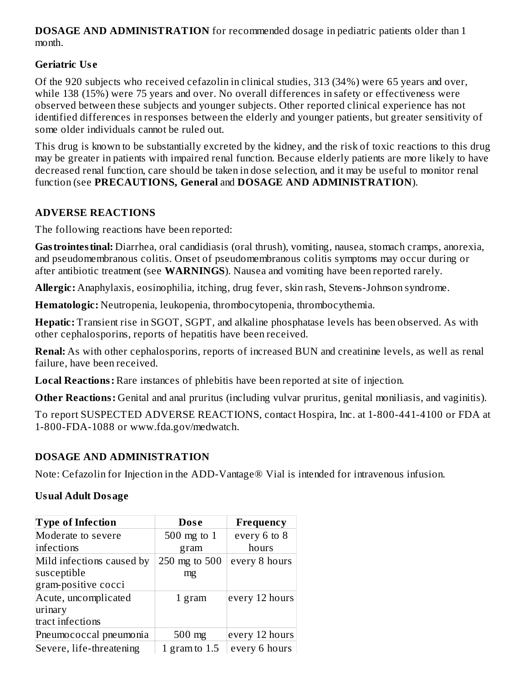**DOSAGE AND ADMINISTRATION** for recommended dosage in pediatric patients older than 1 month.

## **Geriatric Us e**

Of the 920 subjects who received cefazolin in clinical studies, 313 (34%) were 65 years and over, while 138 (15%) were 75 years and over. No overall differences in safety or effectiveness were observed between these subjects and younger subjects. Other reported clinical experience has not identified differences in responses between the elderly and younger patients, but greater sensitivity of some older individuals cannot be ruled out.

This drug is known to be substantially excreted by the kidney, and the risk of toxic reactions to this drug may be greater in patients with impaired renal function. Because elderly patients are more likely to have decreased renal function, care should be taken in dose selection, and it may be useful to monitor renal function (see **PRECAUTIONS, General** and **DOSAGE AND ADMINISTRATION**).

## **ADVERSE REACTIONS**

The following reactions have been reported:

**Gastrointestinal:** Diarrhea, oral candidiasis (oral thrush), vomiting, nausea, stomach cramps, anorexia, and pseudomembranous colitis. Onset of pseudomembranous colitis symptoms may occur during or after antibiotic treatment (see **WARNINGS**). Nausea and vomiting have been reported rarely.

**Allergic:** Anaphylaxis, eosinophilia, itching, drug fever, skin rash, Stevens-Johnson syndrome.

**Hematologic:** Neutropenia, leukopenia, thrombocytopenia, thrombocythemia.

**Hepatic:** Transient rise in SGOT, SGPT, and alkaline phosphatase levels has been observed. As with other cephalosporins, reports of hepatitis have been received.

**Renal:** As with other cephalosporins, reports of increased BUN and creatinine levels, as well as renal failure, have been received.

**Local Reactions:** Rare instances of phlebitis have been reported at site of injection.

**Other Reactions:** Genital and anal pruritus (including vulvar pruritus, genital moniliasis, and vaginitis).

To report SUSPECTED ADVERSE REACTIONS, contact Hospira, Inc. at 1-800-441-4100 or FDA at 1-800-FDA-1088 or www.fda.gov/medwatch.

# **DOSAGE AND ADMINISTRATION**

Note: Cefazolin for Injection in the ADD-Vantage® Vial is intended for intravenous infusion.

# **Usual Adult Dosage**

| Type of Infection                                   | <b>Dose</b>           | <b>Frequency</b> |
|-----------------------------------------------------|-----------------------|------------------|
| Moderate to severe                                  | $500 \text{ mg}$ to 1 | every 6 to 8     |
| infections                                          | gram                  | hours            |
| Mild infections caused by<br>susceptible            | 250 mg to 500<br>mg   | every 8 hours    |
| gram-positive cocci                                 |                       |                  |
| Acute, uncomplicated<br>urinary<br>tract infections | 1 gram                | every 12 hours   |
| Pneumococcal pneumonia                              | $500$ mg              | every 12 hours   |
| Severe, life-threatening                            | 1 gram to $1.5$       | every 6 hours    |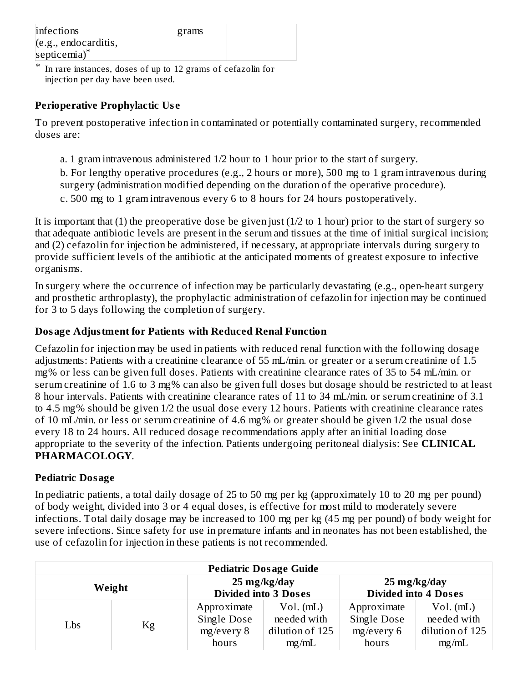\* In rare instances, doses of up to 12 grams of cefazolin for injection per day have been used.

#### **Perioperative Prophylactic Us e**

To prevent postoperative infection in contaminated or potentially contaminated surgery, recommended doses are:

a. 1 gram intravenous administered 1/2 hour to 1 hour prior to the start of surgery.

b. For lengthy operative procedures (e.g., 2 hours or more), 500 mg to 1 gram intravenous during surgery (administration modified depending on the duration of the operative procedure).

c. 500 mg to 1 gram intravenous every 6 to 8 hours for 24 hours postoperatively.

It is important that (1) the preoperative dose be given just (1/2 to 1 hour) prior to the start of surgery so that adequate antibiotic levels are present in the serum and tissues at the time of initial surgical incision; and (2) cefazolin for injection be administered, if necessary, at appropriate intervals during surgery to provide sufficient levels of the antibiotic at the anticipated moments of greatest exposure to infective organisms.

In surgery where the occurrence of infection may be particularly devastating (e.g., open-heart surgery and prosthetic arthroplasty), the prophylactic administration of cefazolin for injection may be continued for 3 to 5 days following the completion of surgery.

#### **Dosage Adjustment for Patients with Reduced Renal Function**

Cefazolin for injection may be used in patients with reduced renal function with the following dosage adjustments: Patients with a creatinine clearance of 55 mL/min. or greater or a serum creatinine of 1.5 mg% or less can be given full doses. Patients with creatinine clearance rates of 35 to 54 mL/min. or serum creatinine of 1.6 to 3 mg% can also be given full doses but dosage should be restricted to at least 8 hour intervals. Patients with creatinine clearance rates of 11 to 34 mL/min. or serum creatinine of 3.1 to 4.5 mg% should be given 1/2 the usual dose every 12 hours. Patients with creatinine clearance rates of 10 mL/min. or less or serum creatinine of 4.6 mg% or greater should be given 1/2 the usual dose every 18 to 24 hours. All reduced dosage recommendations apply after an initial loading dose appropriate to the severity of the infection. Patients undergoing peritoneal dialysis: See **CLINICAL PHARMACOLOGY**.

#### **Pediatric Dosage**

In pediatric patients, a total daily dosage of 25 to 50 mg per kg (approximately 10 to 20 mg per pound) of body weight, divided into 3 or 4 equal doses, is effective for most mild to moderately severe infections. Total daily dosage may be increased to 100 mg per kg (45 mg per pound) of body weight for severe infections. Since safety for use in premature infants and in neonates has not been established, the use of cefazolin for injection in these patients is not recommended.

| <b>Pediatric Dosage Guide</b> |    |                                             |                          |                                                       |                            |  |
|-------------------------------|----|---------------------------------------------|--------------------------|-------------------------------------------------------|----------------------------|--|
| Weight                        |    | 25 mg/kg/day<br><b>Divided into 3 Doses</b> |                          | $25 \text{ mg/kg/day}$<br><b>Divided into 4 Doses</b> |                            |  |
| Lbs                           | Kg | Approximate<br><b>Single Dose</b>           | Vol. (mL)<br>needed with | Approximate<br>Single Dose                            | $Vol.$ (mL)<br>needed with |  |
|                               |    | mg/every 8<br>hours                         | dilution of 125<br>mg/mL | mg/every 6<br>hours                                   | dilution of 125<br>mg/mL   |  |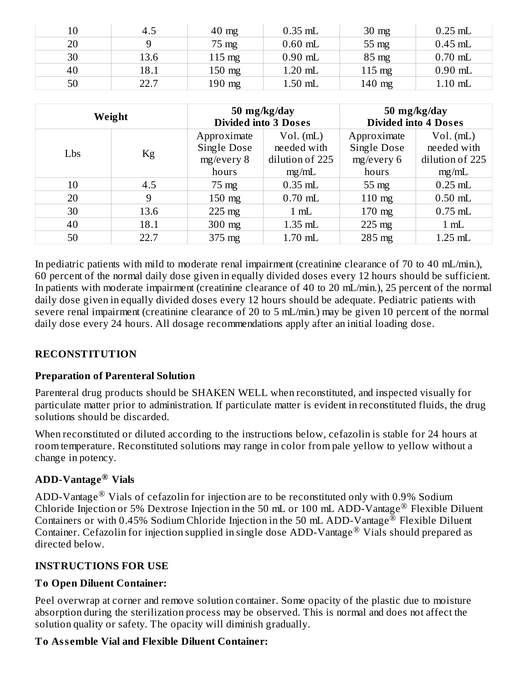| 10 | 4.5  | $40 \text{ mg}$  | $0.35$ mL | $30 \text{ mg}$  | $0.25$ mL |
|----|------|------------------|-----------|------------------|-----------|
| 20 |      | 75 mg            | $0.60$ mL | 55 mg            | $0.45$ mL |
| 30 | 13.6 | $115 \text{ mg}$ | $0.90$ mL | 85 mg            | $0.70$ mL |
| 40 | 18.1 | $150 \text{ mg}$ | $1.20$ mL | $115 \text{ mg}$ | $0.90$ mL |
| 50 | 22.7 | 190 mg           | $1.50$ mL | $140$ mg         | $1.10$ mL |

| Weight |      | 50 mg/kg/day<br><b>Divided into 3 Doses</b>              |                                                      | 50 mg/kg/day<br><b>Divided into 4 Doses</b>              |                                                        |
|--------|------|----------------------------------------------------------|------------------------------------------------------|----------------------------------------------------------|--------------------------------------------------------|
| Lbs    | Kg   | Approximate<br><b>Single Dose</b><br>mg/every 8<br>hours | Vol. (mL)<br>needed with<br>dilution of 225<br>mg/mL | Approximate<br><b>Single Dose</b><br>mg/every 6<br>hours | $Vol.$ (mL)<br>needed with<br>dilution of 225<br>mg/mL |
| 10     | 4.5  | 75 mg                                                    | $0.35$ mL                                            | $55 \text{ mg}$                                          | $0.25$ mL                                              |
| 20     | 9    | $150$ mg                                                 | $0.70$ mL                                            | $110 \text{ mg}$                                         | $0.50$ mL                                              |
| 30     | 13.6 | $225 \text{ mg}$                                         | $1 \text{ mL}$                                       | $170$ mg                                                 | $0.75$ mL                                              |
| 40     | 18.1 | 300 mg                                                   | $1.35$ mL                                            | $225$ mg                                                 | $1 \text{ mL}$                                         |
| 50     | 22.7 | 375 mg                                                   | $1.70$ mL                                            | 285 mg                                                   | $1.25$ mL                                              |

In pediatric patients with mild to moderate renal impairment (creatinine clearance of 70 to 40 mL/min.), 60 percent of the normal daily dose given in equally divided doses every 12 hours should be sufficient. In patients with moderate impairment (creatinine clearance of 40 to 20 mL/min.), 25 percent of the normal daily dose given in equally divided doses every 12 hours should be adequate. Pediatric patients with severe renal impairment (creatinine clearance of 20 to 5 mL/min.) may be given 10 percent of the normal daily dose every 24 hours. All dosage recommendations apply after an initial loading dose.

## **RECONSTITUTION**

## **Preparation of Parenteral Solution**

Parenteral drug products should be SHAKEN WELL when reconstituted, and inspected visually for particulate matter prior to administration. If particulate matter is evident in reconstituted fluids, the drug solutions should be discarded.

When reconstituted or diluted according to the instructions below, cefazolin is stable for 24 hours at room temperature. Reconstituted solutions may range in color from pale yellow to yellow without a change in potency.

## **ADD-Vantage Vials ®**

ADD-Vantage $^\circledR$  Vials of cefazolin for injection are to be reconstituted only with 0.9% Sodium Chloride Injection or 5% Dextrose Injection in the 50 mL or 100 mL ADD-Vantage<sup>®</sup> Flexible Diluent Containers or with 0.45% Sodium Chloride Injection in the 50 mL ADD-Vantage  $\overline{O}$  Flexible Diluent Container. Cefazolin for injection supplied in single dose ADD-Vantage  $^{\circledR}$  Vials should prepared as directed below.

#### **INSTRUCTIONS FOR USE**

## **To Open Diluent Container:**

Peel overwrap at corner and remove solution container. Some opacity of the plastic due to moisture absorption during the sterilization process may be observed. This is normal and does not affect the solution quality or safety. The opacity will diminish gradually.

## **To Ass emble Vial and Flexible Diluent Container:**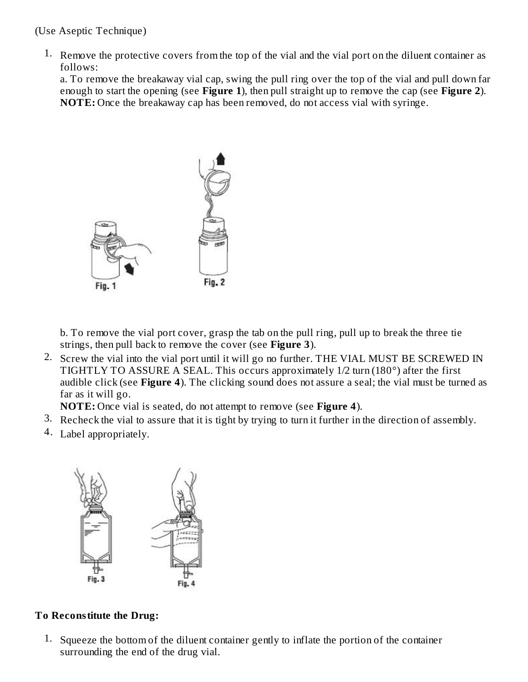1. Remove the protective covers from the top of the vial and the vial port on the diluent container as follows:

a. To remove the breakaway vial cap, swing the pull ring over the top of the vial and pull down far enough to start the opening (see **Figure 1**), then pull straight up to remove the cap (see **Figure 2**). **NOTE:** Once the breakaway cap has been removed, do not access vial with syringe.



b. To remove the vial port cover, grasp the tab on the pull ring, pull up to break the three tie strings, then pull back to remove the cover (see **Figure 3**).

2. Screw the vial into the vial port until it will go no further. THE VIAL MUST BE SCREWED IN TIGHTLY TO ASSURE A SEAL. This occurs approximately 1/2 turn (180°) after the first audible click (see **Figure 4**). The clicking sound does not assure a seal; the vial must be turned as far as it will go.

**NOTE:** Once vial is seated, do not attempt to remove (see **Figure 4**).

- 3. Recheck the vial to assure that it is tight by trying to turn it further in the direction of assembly.
- 4. Label appropriately.



## **To Reconstitute the Drug:**

1. Squeeze the bottom of the diluent container gently to inflate the portion of the container surrounding the end of the drug vial.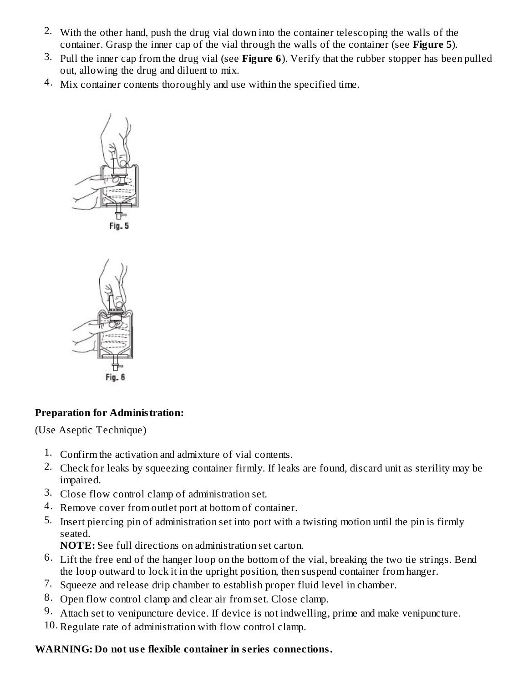- 2. With the other hand, push the drug vial down into the container telescoping the walls of the container. Grasp the inner cap of the vial through the walls of the container (see **Figure 5**).
- 3. Pull the inner cap from the drug vial (see **Figure 6**). Verify that the rubber stopper has been pulled out, allowing the drug and diluent to mix.
- 4. Mix container contents thoroughly and use within the specified time.





## **Preparation for Administration:**

(Use Aseptic Technique)

- 1. Confirm the activation and admixture of vial contents.
- 2. Check for leaks by squeezing container firmly. If leaks are found, discard unit as sterility may be impaired.
- 3. Close flow control clamp of administration set.
- 4. Remove cover from outlet port at bottom of container.
- 5. Insert piercing pin of administration set into port with a twisting motion until the pin is firmly seated.

**NOTE:** See full directions on administration set carton.

- 6. Lift the free end of the hanger loop on the bottom of the vial, breaking the two tie strings. Bend the loop outward to lock it in the upright position, then suspend container from hanger.
- 7. Squeeze and release drip chamber to establish proper fluid level in chamber.
- 8. Open flow control clamp and clear air from set. Close clamp.
- 9. Attach set to venipuncture device. If device is not indwelling, prime and make venipuncture.
- 10. Regulate rate of administration with flow control clamp.

#### **WARNING: Do not us e flexible container in s eries connections.**